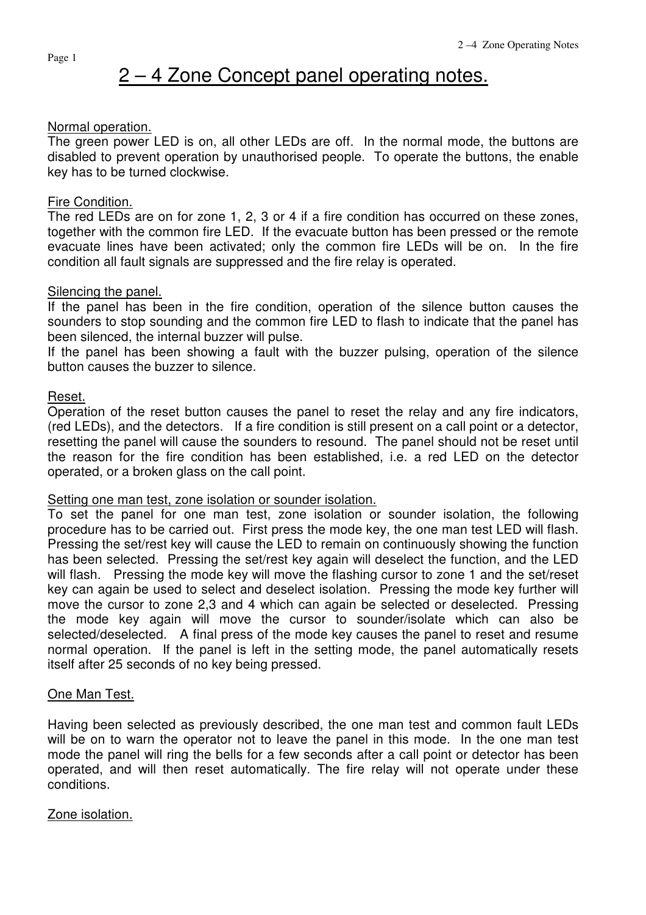# 2 – 4 Zone Concept panel operating notes.

## Normal operation.

The green power LED is on, all other LEDs are off. In the normal mode, the buttons are disabled to prevent operation by unauthorised people. To operate the buttons, the enable key has to be turned clockwise.

## Fire Condition.

The red LEDs are on for zone 1, 2, 3 or 4 if a fire condition has occurred on these zones, together with the common fire LED. If the evacuate button has been pressed or the remote evacuate lines have been activated; only the common fire LEDs will be on. In the fire condition all fault signals are suppressed and the fire relay is operated.

## Silencing the panel.

If the panel has been in the fire condition, operation of the silence button causes the sounders to stop sounding and the common fire LED to flash to indicate that the panel has been silenced, the internal buzzer will pulse.

If the panel has been showing a fault with the buzzer pulsing, operation of the silence button causes the buzzer to silence.

## Reset.

Operation of the reset button causes the panel to reset the relay and any fire indicators, (red LEDs), and the detectors. If a fire condition is still present on a call point or a detector, resetting the panel will cause the sounders to resound. The panel should not be reset until the reason for the fire condition has been established, i.e. a red LED on the detector operated, or a broken glass on the call point.

#### Setting one man test, zone isolation or sounder isolation.

To set the panel for one man test, zone isolation or sounder isolation, the following procedure has to be carried out. First press the mode key, the one man test LED will flash. Pressing the set/rest key will cause the LED to remain on continuously showing the function has been selected. Pressing the set/rest key again will deselect the function, and the LED will flash. Pressing the mode key will move the flashing cursor to zone 1 and the set/reset key can again be used to select and deselect isolation. Pressing the mode key further will move the cursor to zone 2,3 and 4 which can again be selected or deselected. Pressing the mode key again will move the cursor to sounder/isolate which can also be selected/deselected. A final press of the mode key causes the panel to reset and resume normal operation. If the panel is left in the setting mode, the panel automatically resets itself after 25 seconds of no key being pressed.

# One Man Test.

Having been selected as previously described, the one man test and common fault LEDs will be on to warn the operator not to leave the panel in this mode. In the one man test mode the panel will ring the bells for a few seconds after a call point or detector has been operated, and will then reset automatically. The fire relay will not operate under these conditions.

# Zone isolation.

Page 1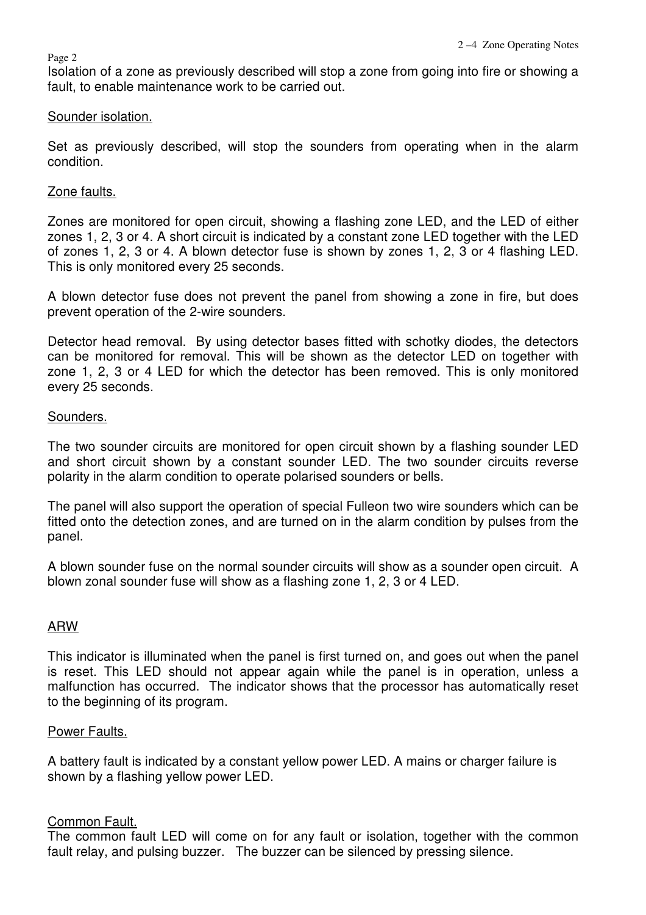Isolation of a zone as previously described will stop a zone from going into fire or showing a fault, to enable maintenance work to be carried out.

## Sounder isolation.

Set as previously described, will stop the sounders from operating when in the alarm condition.

# Zone faults.

Zones are monitored for open circuit, showing a flashing zone LED, and the LED of either zones 1, 2, 3 or 4. A short circuit is indicated by a constant zone LED together with the LED of zones 1, 2, 3 or 4. A blown detector fuse is shown by zones 1, 2, 3 or 4 flashing LED. This is only monitored every 25 seconds.

A blown detector fuse does not prevent the panel from showing a zone in fire, but does prevent operation of the 2-wire sounders.

Detector head removal. By using detector bases fitted with schotky diodes, the detectors can be monitored for removal. This will be shown as the detector LED on together with zone 1, 2, 3 or 4 LED for which the detector has been removed. This is only monitored every 25 seconds.

## Sounders.

The two sounder circuits are monitored for open circuit shown by a flashing sounder LED and short circuit shown by a constant sounder LED. The two sounder circuits reverse polarity in the alarm condition to operate polarised sounders or bells.

The panel will also support the operation of special Fulleon two wire sounders which can be fitted onto the detection zones, and are turned on in the alarm condition by pulses from the panel.

A blown sounder fuse on the normal sounder circuits will show as a sounder open circuit. A blown zonal sounder fuse will show as a flashing zone 1, 2, 3 or 4 LED.

# ARW

This indicator is illuminated when the panel is first turned on, and goes out when the panel is reset. This LED should not appear again while the panel is in operation, unless a malfunction has occurred. The indicator shows that the processor has automatically reset to the beginning of its program.

#### Power Faults.

A battery fault is indicated by a constant yellow power LED. A mains or charger failure is shown by a flashing yellow power LED.

# Common Fault.

The common fault LED will come on for any fault or isolation, together with the common fault relay, and pulsing buzzer. The buzzer can be silenced by pressing silence.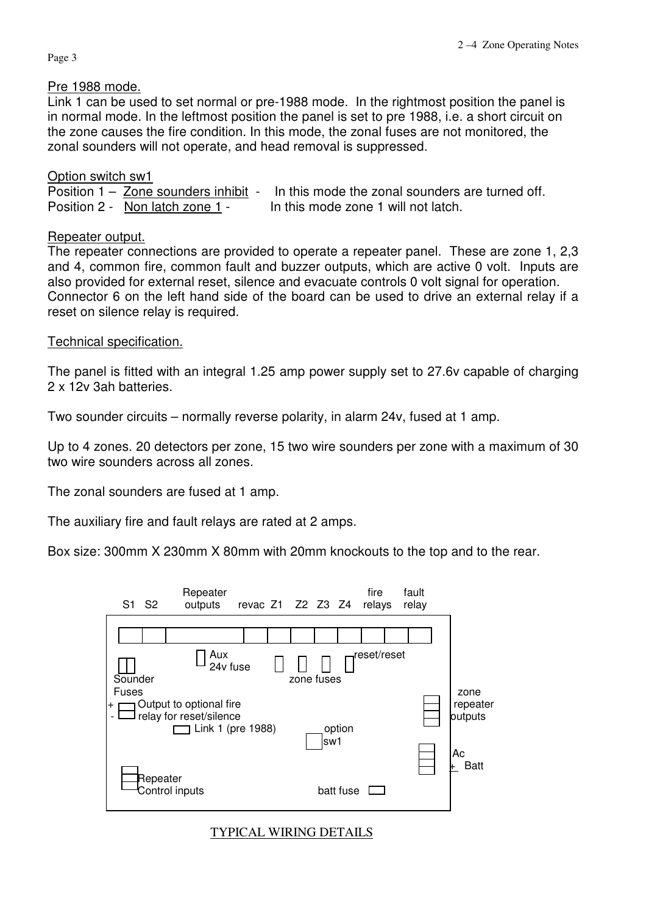Page 3

## Pre 1988 mode.

Link 1 can be used to set normal or pre-1988 mode. In the rightmost position the panel is in normal mode. In the leftmost position the panel is set to pre 1988, i.e. a short circuit on the zone causes the fire condition. In this mode, the zonal fuses are not monitored, the zonal sounders will not operate, and head removal is suppressed.

# Option switch sw1

Position 1 – Zone sounders inhibit - In this mode the zonal sounders are turned off. Position 2 - Non latch zone 1 - In this mode zone 1 will not latch.

# Repeater output.

The repeater connections are provided to operate a repeater panel. These are zone 1, 2,3 and 4, common fire, common fault and buzzer outputs, which are active 0 volt. Inputs are also provided for external reset, silence and evacuate controls 0 volt signal for operation. Connector 6 on the left hand side of the board can be used to drive an external relay if a reset on silence relay is required.

# Technical specification.

The panel is fitted with an integral 1.25 amp power supply set to 27.6v capable of charging 2 x 12v 3ah batteries.

Two sounder circuits – normally reverse polarity, in alarm 24v, fused at 1 amp.

Up to 4 zones. 20 detectors per zone, 15 two wire sounders per zone with a maximum of 30 two wire sounders across all zones.

The zonal sounders are fused at 1 amp.

The auxiliary fire and fault relays are rated at 2 amps.

Box size: 300mm X 230mm X 80mm with 20mm knockouts to the top and to the rear.



# TYPICAL WIRING DETAILS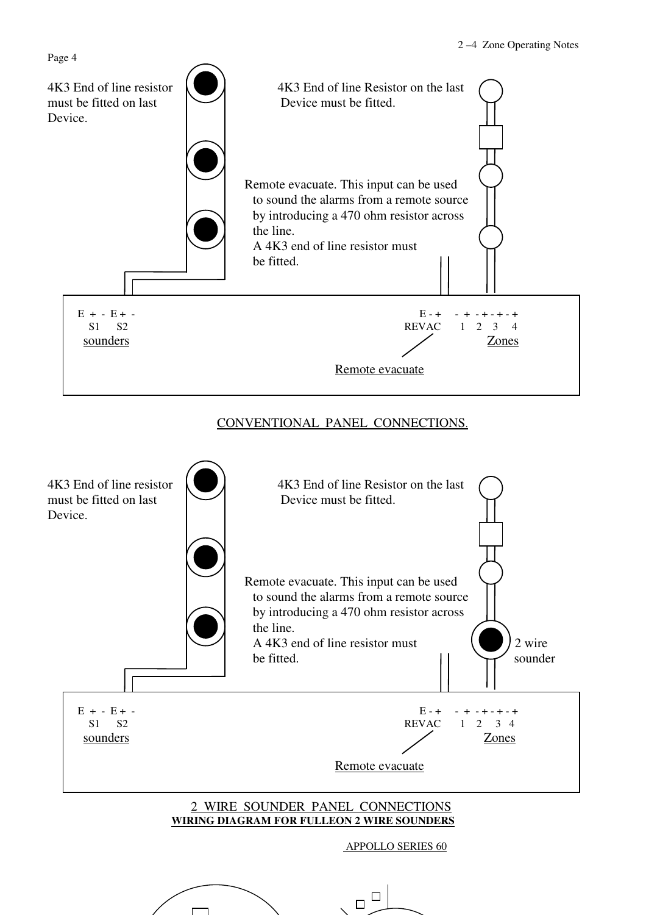

# CONVENTIONAL PANEL CONNECTIONS.

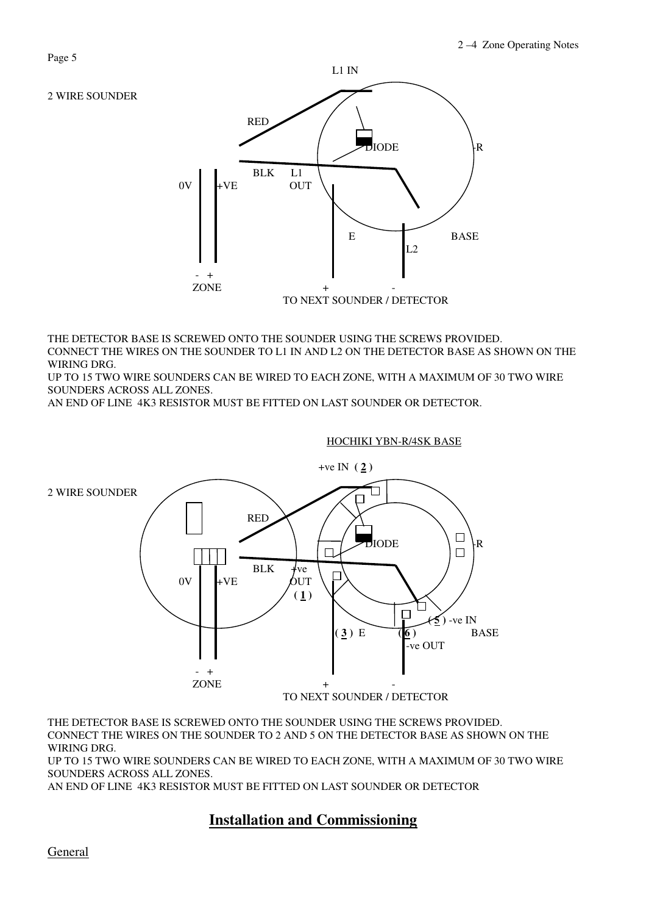

THE DETECTOR BASE IS SCREWED ONTO THE SOUNDER USING THE SCREWS PROVIDED. CONNECT THE WIRES ON THE SOUNDER TO L1 IN AND L2 ON THE DETECTOR BASE AS SHOWN ON THE WIRING DRG.

UP TO 15 TWO WIRE SOUNDERS CAN BE WIRED TO EACH ZONE, WITH A MAXIMUM OF 30 TWO WIRE SOUNDERS ACROSS ALL ZONES.

AN END OF LINE 4K3 RESISTOR MUST BE FITTED ON LAST SOUNDER OR DETECTOR.

# $+ve IN (2)$ 2 WIRE SOUNDER ◧  $\angle$  | | RED L  $\Box$ DIODE  $\Box$ R  $_{\text{OV}}$   $_{\text{HVE}}$  BLK  $_{\text{OUT}}$ Г  $\setminus$  0V +VE QUT  $\setminus$  1 |  $\setminus$  (1)  $\Box$   $\rightarrow$   $\rightarrow$  -ve IN **(3)** E **(6)** BASE -ve OUT  $-$  +  $+$ ZONE TO NEXT SOUNDER / DETECTOR

HOCHIKI YBN-R/4SK BASE

THE DETECTOR BASE IS SCREWED ONTO THE SOUNDER USING THE SCREWS PROVIDED. CONNECT THE WIRES ON THE SOUNDER TO 2 AND 5 ON THE DETECTOR BASE AS SHOWN ON THE WIRING DRG.

UP TO 15 TWO WIRE SOUNDERS CAN BE WIRED TO EACH ZONE, WITH A MAXIMUM OF 30 TWO WIRE SOUNDERS ACROSS ALL ZONES.

AN END OF LINE 4K3 RESISTOR MUST BE FITTED ON LAST SOUNDER OR DETECTOR

# **Installation and Commissioning**

2 WIRE SOUNDER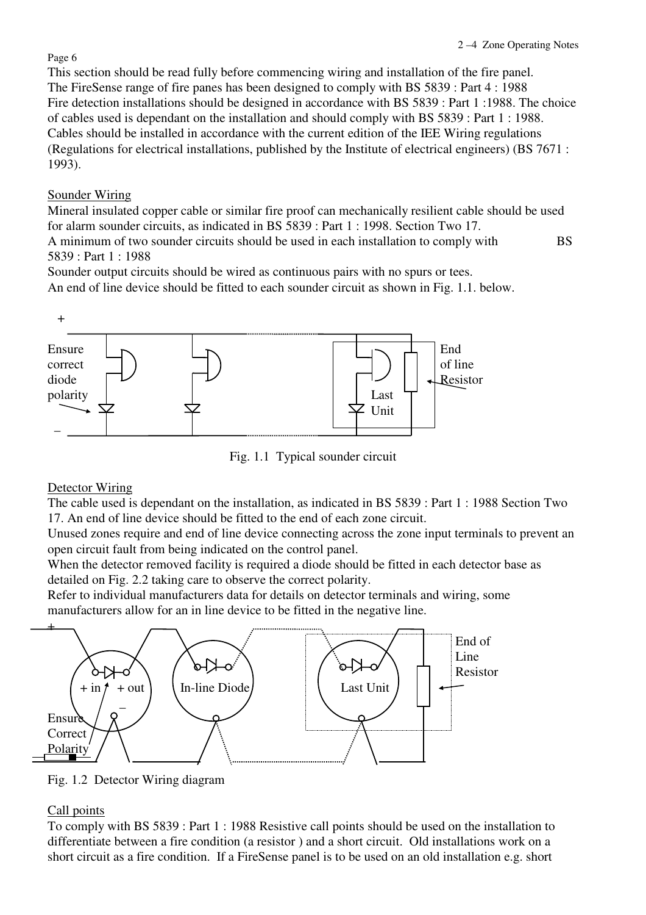## Page 6

This section should be read fully before commencing wiring and installation of the fire panel. The FireSense range of fire panes has been designed to comply with BS 5839 : Part 4 : 1988 Fire detection installations should be designed in accordance with BS 5839 : Part 1 :1988. The choice of cables used is dependant on the installation and should comply with BS 5839 : Part 1 : 1988. Cables should be installed in accordance with the current edition of the IEE Wiring regulations (Regulations for electrical installations, published by the Institute of electrical engineers) (BS 7671 : 1993).

# Sounder Wiring

Mineral insulated copper cable or similar fire proof can mechanically resilient cable should be used for alarm sounder circuits, as indicated in BS 5839 : Part 1 : 1998. Section Two 17. A minimum of two sounder circuits should be used in each installation to comply with BS 5839 : Part 1 : 1988

Sounder output circuits should be wired as continuous pairs with no spurs or tees. An end of line device should be fitted to each sounder circuit as shown in Fig. 1.1. below.



Fig. 1.1 Typical sounder circuit

# Detector Wiring

The cable used is dependant on the installation, as indicated in BS 5839 : Part 1 : 1988 Section Two 17. An end of line device should be fitted to the end of each zone circuit.

Unused zones require and end of line device connecting across the zone input terminals to prevent an open circuit fault from being indicated on the control panel.

When the detector removed facility is required a diode should be fitted in each detector base as detailed on Fig. 2.2 taking care to observe the correct polarity.

Refer to individual manufacturers data for details on detector terminals and wiring, some manufacturers allow for an in line device to be fitted in the negative line.



Fig. 1.2 Detector Wiring diagram

# Call points

To comply with BS 5839 : Part 1 : 1988 Resistive call points should be used on the installation to differentiate between a fire condition (a resistor ) and a short circuit. Old installations work on a short circuit as a fire condition. If a FireSense panel is to be used on an old installation e.g. short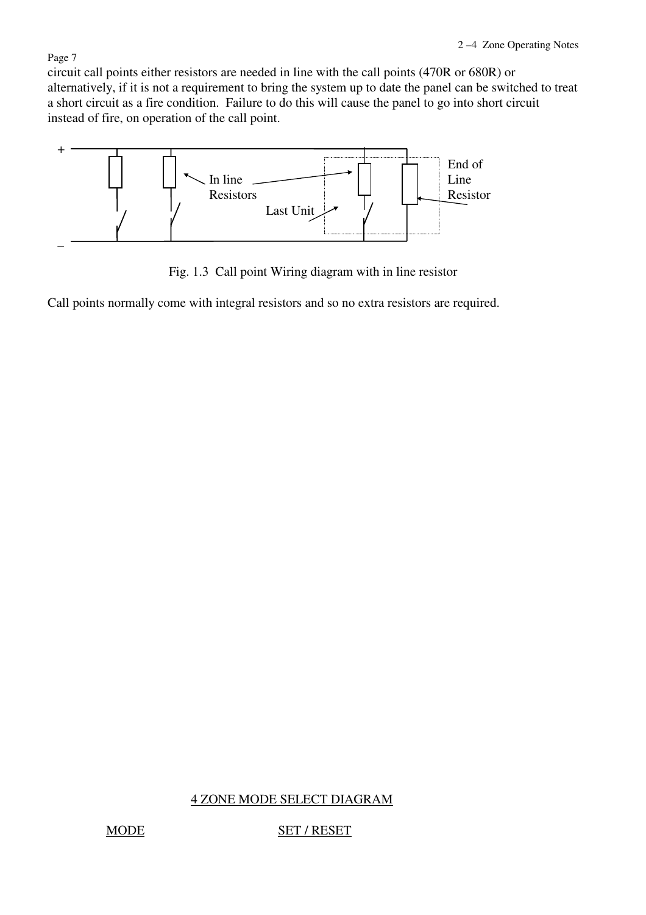# circuit call points either resistors are needed in line with the call points (470R or 680R) or alternatively, if it is not a requirement to bring the system up to date the panel can be switched to treat a short circuit as a fire condition. Failure to do this will cause the panel to go into short circuit instead of fire, on operation of the call point.



Fig. 1.3 Call point Wiring diagram with in line resistor

Call points normally come with integral resistors and so no extra resistors are required.

# 4 ZONE MODE SELECT DIAGRAM

#### MODE SET / RESET

#### Page 7